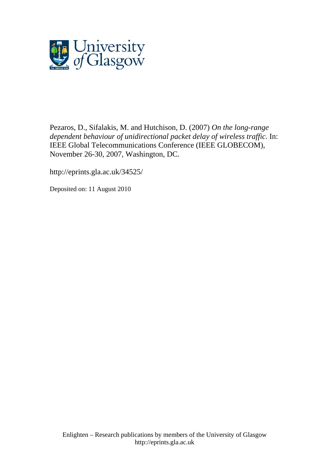

[Pezaros, D.](http://eprints.gla.ac.uk/view/author/5079.html), Sifalakis, M. and Hutchison, D. (2007) *On the long-range dependent behaviour of unidirectional packet delay of wireless traffic.* In: IEEE Global Telecommunications Conference (IEEE GLOBECOM), November 26-30, 2007, Washington, DC.

http://eprints.gla.ac.uk/34525/

Deposited on: 11 August 2010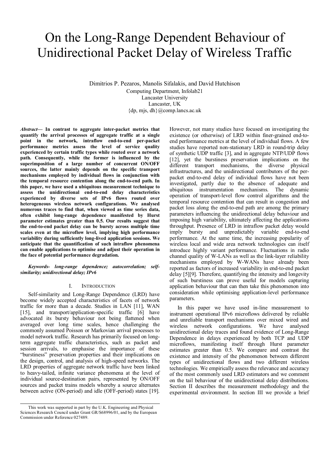# On the Long-Range Dependent Behaviour of Unidirectional Packet Delay of Wireless Traffic

Dimitrios P. Pezaros, Manolis Sifalakis, and David Hutchison Computing Department, Infolab21 Lancaster University Lancaster, UK  ${dp, mis, dh}$ @comp.lancs.ac.uk

*Abstract***— In contrast to aggregate inter-packet metrics that quantify the arrival processes of aggregate traffic at a single point in the network, intraflow end-to-end per-packet performance metrics assess the level of service quality experienced by certain traffic types while routed over a network path. Consequently, while the former is influenced by the superimposition of a large number of concurrent ON/OFF sources, the latter mainly depends on the specific transport mechanisms employed by individual flows in conjunction with the temporal resource contention along the end-to-end path. In this paper, we have used a ubiquitous measurement technique to assess the unidirectional end-to-end delay characteristics experienced by diverse sets of IPv6 flows routed over heterogeneous wireless network configurations. We analysed numerous traces to find that, when viewed as time series data, often exhibit long-range dependence manifested by Hurst parameter estimates greater than 0.5. Our results suggest that the end-to-end packet delay can be bursty across multiple time scales even at the microflow level, implying high performance variability during sufficiently long-lived application sessions. We anticipate that the quantification of such intraflow phenomena can enable applications to optimise and adjust their operation in the face of potential performance degradation.** 

## *Keywords- long-range dependence; autocorrelation; selfsimilarity; unidirectional delay; IPv6*

#### I. INTRODUCTION

Self-similarity and Long-Range Dependence (LRD) have become widely accepted characteristics of facets of network traffic for more than a decade. Studies in LAN [11], WAN [15], and transport/application-specific traffic [6] have advocated its bursty behaviour not being flattened when averaged over long time scales, hence challenging the commonly assumed Poisson or Markovian arrival processes to model network traffic. Research has primarily focused on longterm aggregate traffic characteristics, such as packet and session arrivals, to emphasise the importance of these "burstiness" preservation properties and their implications on the design, control, and analysis of high-speed networks. The LRD properties of aggregate network traffic have been linked to heavy-tailed, infinite variance phenomena at the level of individual source-destination pairs, represented by ON/OFF sources and packet trains models whereby a source alternates between active (ON-period) and idle (OFF-period) states [19].

However, not many studies have focused on investigating the existence (or otherwise) of LRD within finer-grained end-toend performance metrics at the level of individual flows. A few studies have reported non-stationary LRD in round-trip delay of synthetic UDP traffic [3], and in aggregate NTP/UDP flows [12], yet the burstiness preservation implications on the different transport mechanisms, the diverse physical infrastructures, and the unidirectional contributors of the perpacket end-to-end delay of individual flows have not been investigated, partly due to the absence of adequate and ubiquitous instrumentation mechanisms. The dynamic operation of transport-level flow control algorithms and the temporal resource contention that can result in congestion and packet loss along the end-to-end path are among the primary parameters influencing the unidirectional delay behaviour and imposing high variability, ultimately affecting the applications throughput. Presence of LRD in intraflow packet delay would imply bursty and unpredictably variable end-to-end performance. At the same time, the increasing popularity of wireless local and wide area network technologies can itself introduce highly variant performance. Fluctuations in radio channel quality of W-LANs as well as the link-layer reliability mechanisms employed by W-WANs have already been reported as factors of increased variability in end-to-end packet delay [5][9]. Therefore, quantifying the intensity and longevity of such burstiness can prove useful for models capturing application behaviour that can then take this phenomenon into consideration while optimising application-level performance parameters.

In this paper we have used in-line measurement to instrument operational IPv6 microflows delivered by reliable and unreliable transport mechanisms over mixed wired and wireless network configurations. We have analysed unidirectional delay traces and found evidence of Long-Range Dependence in delays experienced by both TCP and UDP microflows, manifesting itself through Hurst parameter estimates greater than 0.5. We compare and contrast the existence and intensity of the phenomenon between different types of unidirectional flows and two different wireless technologies. We empirically assess the relevance and accuracy of the most commonly used LRD estimators and we comment on the tail behaviour of the unidirectional delay distributions. Section II describes the measurement methodology and the experimental environment. In section III we provide a brief

This work was supported in part by the U.K. Engineering and Physical Sciences Research Council under Grant GR/S68996/01, and by the European Commission under Reference 027489.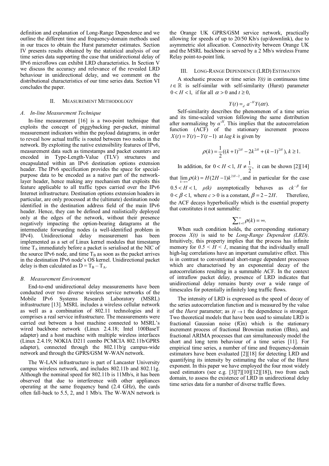definition and explanation of Long-Range Dependence and we outline the different time and frequency-domain methods used in our traces to obtain the Hurst parameter estimates. Section IV presents results obtained by the statistical analysis of our time series data supporting the case that unidirectional delay of IPv6 microflows can exhibit LRD characteristics. In Section V we discuss the accuracy and relevance of the revealed LRD behaviour in unidirectional delay, and we comment on the distributional characteristics of our time series data. Section VI concludes the paper.

## II. MEASUREMENT METHODOLOGY

## *A. In-line Measurement Technique*

In-line measurement [16] is a two-point technique that exploits the concept of piggybacking per-packet, minimal measurement indicators within the payload datagrams, in order to reveal how actual traffic is routed between two nodes in the network. By exploiting the native extensibility features of IPv6, measurement data such as timestamps and packet counters are encoded in Type-Length-Value (TLV) structures and encapsulated within an IPv6 destination options extension header. The IPv6 specification provides the space for specialpurpose data to be encoded as a native part of the networklayer header, hence making any mechanism that exploits this feature applicable to all traffic types carried over the IPv6 Internet infrastructure. Destination options extension headers in particular, are only processed at the (ultimate) destination node identified in the destination address field of the main IPv6 header. Hence, they can be defined and realistically deployed only at the edges of the network, without their presence negatively impacting the option-bearing datagrams at the intermediate forwarding nodes (a well-identified problem in IPv4). Unidirectional delay measurement has been implemented as a set of Linux kernel modules that timestamp time  $T_A$  immediately before a packet is serialised at the NIC of the source IPv6 node, and time  $T_B$  as soon as the packet arrives in the destination IPv6 node's OS kernel. Unidirectional packet delay is then calculated as  $D = T_B - T_A$ .

#### *B. Measurement Environment*

End-to-end unidirectional delay measurements have been conducted over two diverse wireless service networks of the Mobile IPv6 Systems Research Laboratory (MSRL) infrastructure [13]. MSRL includes a wireless cellular network as well as a combination of 802.11 technologies and it comprises a real service infrastructure. The measurements were carried out between a host machine connected to MSRL's wired backbone network (Linux 2.4.18; Intel 100BaseT adapter) and a host machine with multiple wireless interfaces (Linux 2.4.19; NOKIA D211 combo PCMCIA 802.11b/GPRS adapter), connected through the 802.11b/g campus-wide network and through the GPRS/GSM W-WAN network.

The W-LAN infrastructure is part of Lancaster University campus wireless network, and includes 802.11b and 802.11g. Although the nominal speed for 802.11b is 11Mb/s, it has been observed that due to interference with other appliances operating at the same frequency band (2.4 GHz), the cards often fall-back to 5.5, 2, and 1 Mb/s. The W-WAN network is

the Orange UK GPRS/GSM service network, practically allowing for speeds of up to 20/50 Kb/s (up/downlink), due to asymmetric slot allocation. Connectivity between Orange UK and the MSRL backbone is served by a 2 Mb/s wireless Frame Relay point-to-point link.

### III. LONG-RANGE DEPENDENCE (LRD) ESTIMATION

A stochastic process or time series *Y(t)* in continuous time  $t \in \mathbb{R}$  is self-similar with self-similarity (Hurst) parameter  $0 < H < 1$ , if for all  $\alpha > 0$  and  $t \ge 0$ ,

$$
Y(t) =_d a^{-H} Y(\alpha t).
$$

Self-similarity describes the phenomenon of a time series and its time-scaled version following the same distribution after normalizing by  $\alpha$ <sup>-H</sup>. This implies that the autocorrelation function (ACF) of the stationary increment process  $X(t) = Y(t) - Y(t-1)$  at *lag k* is given by

$$
\rho(k) = \frac{1}{2}((k+1)^{2H} - 2k^{2H} + (k-1)^{2H}), k \ge 1.
$$

In addition, for  $0 < H < 1$ ,  $H \neq \frac{1}{2}$ , it can be shown [2][14] that  $\lim_{k \to \infty} \rho(k) = H(2H-1)k^{2H-2}$ , and in particular for the case  $0.5 < H < 1$ ,  $\rho(k)$  asymptotically behaves as  $ck^{-\beta}$  for  $0 < \beta < 1$ , where  $c > 0$  is a constant,  $\beta = 2 - 2H$ . Therefore, the ACF decays hyperbolically which is the essential property that constitutes it not summable:

$$
\sum_{k=1}^{\infty} \rho(k) = \infty.
$$

When such condition holds, the corresponding stationary process *X(t)* is said to be *Long-Range Dependent (LRD)*. Intuitively, this property implies that the process has infinite memory for  $0.5 < H < 1$ , meaning that the individually small high-lag correlations have an important cumulative effect. This is in contrast to conventional short-range dependent processes which are characterised by an exponential decay of the autocorrelations resulting in a summable ACF. In the context of intraflow packet delay, presence of LRD indicates that unidirectional delay remains bursty over a wide range of timescales for potentially infinitely long traffic flows.

The intensity of LRD is expressed as the speed of decay of the series autocorrelation function and is measured by the value of the *Hurst* parameter; as  $H \rightarrow 1$  the dependence is stronger. Two theoretical models that have been used to simulate LRD is fractional Gaussian noise (fGn) which is the stationary increment process of fractional Brownian motion (fBm), and fractional ARIMA processes that can simultaneously model the short and long term behaviour of a time series [11]. For empirical time series, a number of time and frequency-domain estimators have been evaluated [2][18] for detecting LRD and quantifying its intensity by estimating the value of the Hurst exponent. In this paper we have employed the four most widely used estimators (see e.g. [3][7][10][12][18]), two from each domain, to assess the existence of LRD in unidirectional delay time series data for a number of diverse traffic flows.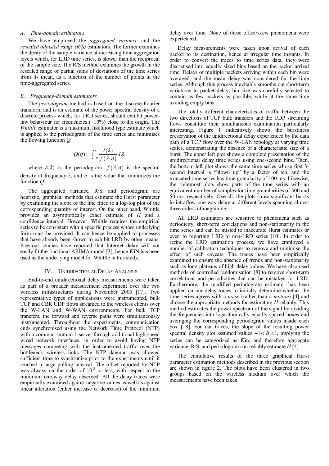# *A. Time-domain estimators*

We have employed the *aggregated variance* and the *rescaled adjusted range (R/S)* estimators. The former examines the decay of the sample variance at increasing time aggregation levels which, for LRD time series, is slower than the reciprocal of the sample size. The R/S method examines the growth in the rescaled range of partial sums of deviations of the time series from its mean, as a function of the number of points in the time-aggregated series.

## *B. Frequency-domain estimators*

The *periodogram* method is based on the discrete Fourier transform and is an estimate of the power spectral density of a discrete process which, for LRD series, should exhibit powerlaw behaviour for frequencies  $(\sim 10\%)$  close to the origin. The *Whittle* estimator is a maximum likelihood type estimate which is applied to the periodogram of the time series and minimises the flowing function *Q*:

$$
Q(\eta) = \int_{-\pi}^{\pi} \frac{I(\lambda)}{f(\lambda; \eta)} d\lambda,
$$

where  $I(\lambda)$  is the periodogram,  $f(\lambda;\eta)$  is the spectral density at frequency  $\lambda$ , and  $\eta$  is the value that minimizes the function *Q*.

The aggregated variance, R/S, and periodogram are heuristic, graphical methods that estimate the Hurst parameter by examining the slope of the line fitted to a log-log plot of the corresponding quantity of interest. On the other hand, Whittle provides an asymptotically exact estimate of *H* and a confidence interval. However, Whittle requires the empirical series to be consistent with a specific process whose underlying form must be provided. It can hence be applied to processes that have already been shown to exhibit LRD by other means. Previous studies have reported that Internet delay will not easily fit the fractional ARIMA model [3], hence fGN has been used as the underlying model for Whittle in this study.

### IV. UNIDIRECTIONAL DELAY ANALYSIS

End-to-end unidirectional delay measurements were taken as part of a broader measurement experiment over the two wireless infrastructures during November 2005 [17]. Two representative types of applications were instrumented, bulk TCP and CBR UDP flows streamed to the wireless clients over the W-LAN and W-WAN environments. For bulk TCP transfers, the forward and reverse paths were simultaneously instrumented. Throughout the experiments, communication ends synchronised using the Network Time Protocol (NTP) with a common stratum 1 server through additional high-speed wired network interfaces, in order to avoid having NTP messages competing with the instrumented traffic over the bottleneck wireless links. The NTP daemon was allowed sufficient time to synchronise prior to the experiments until it reached a large polling interval. The offset reported by NTP was always on the order of  $10^{-3}$  or less, with respect to the minimum one-way delay observed. All the delay traces were empirically examined against negative values as well as against linear alteration (either increase or decrease) of the minimum delay over time. None of these offset/skew phenomena were experienced.

Delay measurements were taken upon arrival of each packet to its destination, hence at irregular time instants. In order to convert the traces to time series data, they were discretised into equally sized bins based on the packet arrival time. Delays of multiple packets arriving within each bin were averaged, and the mean delay was considered for the time series. Although this process inevitably smooths out short-term variations in packet delay, bin size was carefully selected to contain as few packets as possible, while at the same time avoiding empty bins.

The totally different characteristics of traffic between the two directions of TCP bulk transfers and the UDP streaming flows constitute their simultaneous examination particularly interesting. Figure 1 indicatively shows the burstiness preservation of the unidirectional delay experienced by the data path of a TCP flow over the W-LAN topology at varying time scales, demonstrating the absence of a characteristic size of a burst. The upper left plot shows a complete presentation of the unidirectional delay time series using one-second bins. Then, the bottom left plot shows the same time series whose first 3 second interval is "blown up" by a factor of ten, and the truncated time series has time granularity of 100 ms. Likewise, the rightmost plots show parts of the time series with an equivalent number of samples for time granularities of 500 and 50 ms, respectively. Overall, the plots show significant bursts in intraflow one-way delay at different levels spanning almost three orders of magnitude.

All LRD estimators are sensitive to phenomena such as periodicity, short-term correlations and non-stationarity in the time series and can be misled to inaccurate Hurst estimates or even to reporting LRD to non-LRD series [10]. In order to refine the LRD estimation process, we have employed a number of calibration techniques to remove and minimise the effect of such caveats. The traces have been empirically examined to ensure the absence of trends and non-stationarity such as long plateaus of high delay values. We have also used methods of controlled randomisation [8] to remove short-term correlations and periodicities that can be mistaken for LRD. Furthermore, the modified periodogram estimator has been applied on our delay traces to initially determine whether the time series agrees with a *noise* (rather than a *motion*) [4] and choose the appropriate methods for estimating *H* reliably. This method estimates the power spectrum of the signal by dividing the frequencies into logarithmically equally-spaced boxes and averaging the corresponding periodogram values inside each box [18]. For our traces, the slope of the resulting power spectral density plot assumed values  $-1 < \beta < 1$ , implying the series can be categorised as fGn, and therefore aggregate variance, R/S, and periodogram can reliably estimate *H* [4].

The cumulative results of the three graphical Hurst parameter estimation methods described in the previous section are shown in figure 2. The plots have been clustered in two groups based on the wireless medium over which the measurements have been taken.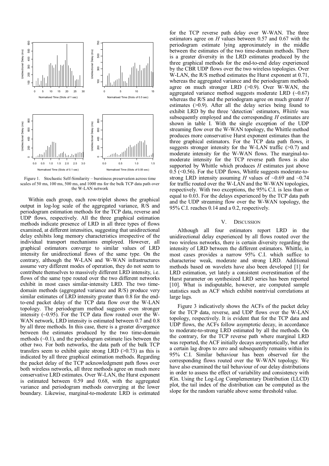

Figure 1. Stochastic Self-Similarity – burstiness preservation across time scales of 50 ms, 100 ms, 500 ms, and 1000 ms for the bulk TCP data path over the W-LAN network

Within each group, each row-triplet shows the graphical output in log-log scale of the aggregated variance, R/S and periodogram estimation methods for the TCP data, reverse and UDP flows, respectively. All the three graphical estimation methods indicate presence of LRD in all three types of flows examined, at different intensities, suggesting that unidirectional delay exhibits long memory characteristics irrespective of the individual transport mechanisms employed. However, all graphical estimators converge to similar values of LRD intensity for unidirectional flows of the same type. On the contrary, although the W-LAN and W-WAN infrastructures assume very different modes of operation, they do not seem to contribute themselves to massively different LRD intensity, i.e. flows of the same type routed over the two different networks exhibit in most cases similar-intensity LRD. The two timedomain methods (aggregated variance and R/S) produce very similar estimates of LRD intensity greater than 0.8 for the endto-end packet delay of the TCP data flow over the W-LAN topology. The periodogram method suggests even stronger intensity  $(-0.95)$ . For the TCP data flow routed over the W-WAN network, LRD intensity is estimated between 0.7 and 0.8 by all three methods. In this case, there is a greater divergence between the estimates produced by the two time-domain methods  $(-0.1)$ , and the periodogram estimate lies between the other two. For both networks, the data path of the bulk TCP transfers seem to exhibit quite strong LRD  $(>0.73)$  as this is indicated by all three graphical estimation methods. Regarding the packet delay of the TCP acknowledgment path flows over both wireless networks, all three methods agree on much more conservative LRD estimates. Over W-LAN, the Hurst exponent is estimated between 0.59 and 0.68, with the aggregated variance and periodogram methods converging at the lower boundary. Likewise, marginal-to-moderate LRD is estimated

for the TCP reverse path delay over W-WAN. The three estimators agree on *H* values between 0.57 and 0.67 with the periodogram estimate lying approximately in the middle between the estimates of the two time-domain methods. There is a greater diversity in the LRD estimates produced by the three graphical methods for the end-to-end delay experienced by the CBR UDP flows over the two wireless topologies. Over W-LAN, the R/S method estimates the Hurst exponent at 0.71, whereas the aggregated variance and the periodogram methods agree on much stronger LRD (>0.9). Over W-WAN, the aggregated variance method suggests moderate LRD  $(-0.67)$ whereas the R/S and the periodogram agree on much greater *H* estimates (>0.9). After all the delay series being found to exhibit LRD by the three 'detection' estimators, *Whittle* was subsequently employed and the corresponding *H* estimates are shown in table I. With the single exception of the UDP streaming flow over the W-WAN topology, the Whittle method produces more conservative Hurst exponent estimates than the three graphical estimators. For the TCP data path flows, it suggests stronger intensity for the W-LAN traffic  $(>0.7)$  and moderate intensity for the W-WAN flows. The marginal-tomoderate intensity for the TCP reverse path flows is also supported by Whittle which produces *H* estimates just above 0.5 (<0.56). For the UDP flows, Whittle suggests moderate-tostrong LRD intensity assuming *H* values of ~0.69 and ~0.74 for traffic routed over the W-LAN and the W-WAN topologies, respectively. With two exceptions, the 95% C.I. is less than or equal to 0.03. For the delays experienced by the TCP data path and the UDP streaming flow over the W-WAN topology, the 95% C.I. reaches 0.14 and a 0.2, respectively.

## V. DISCUSSION

Although all four estimators report LRD in the unidirectional delay experienced by all flows routed over the two wireless networks, there is certain diversity regarding the intensity of LRD between the different estimators. Whittle, in most cases provides a narrow 95% C.I. which suffice to characterise weak, moderate and strong LRD. Additional methods based on wavelets have also been developed [1] for LRD estimation, yet lately a consistent overestimation of the Hurst parameter on synthesized LRD series has been reported [10]. What is indisputable, however, are computed sample statistics such as ACF which exhibit nontrivial correlations at large lags.

Figure 3 indicatively shows the ACFs of the packet delay for the TCP data, reverse, and UDP flows over the W-LAN topology, respectively. It is evident that for the TCP data and UDP flows, the ACFs follow asymptotic decay, in accordance to moderate-to-strong LRD estimated by all the methods. On the contrary, for the TCP reverse path where marginal LRD was reported, the ACF initially decays asymptotically, but after a certain lag drops to zero and subsequently remains within its 95% C.I. Similar behaviour has been observed for the corresponding flows routed over the W-WAN topology. We have also examined the tail behaviour of our delay distributions in order to assess the effect of variability and consistency with fGn. Using the Log-Log Complementary Distribution (LLCD) plot, the tail index of the distribution can be computed as the slope for the random variable above some threshold value.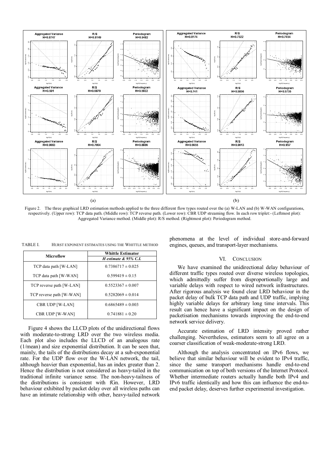

Figure 2. The three graphical LRD estimation methods applied to the three different flow types routed over the (a) W-LAN and (b) W-WAN configurations, respectively. (Upper row): TCP data path. (Middle row): TCP reverse path. (Lower row): CBR UDP streaming flow. In each row triplet:- (Leftmost plot): Aggregated Variance method. (Middle plot): R/S method. (Rightmost plot): Periodogram method.

TABLE I. HURST EXPONENT ESTIMATES USING THE WHITTLE METHOD

| <b>Microflow</b>         | <b>Whittle Estimator</b><br>H estimate & 95% C.I. |
|--------------------------|---------------------------------------------------|
| TCP data path [W-LAN]    | $0.7386717 \pm 0.025$                             |
| TCP data path [W-WAN]    | $0.599419 \pm 0.15$                               |
| TCP reverse path [W-LAN] | $0.5523367 \pm 0.007$                             |
| TCP reverse path [W-WAN] | $0.5282069 \pm 0.014$                             |
| CBR UDP [W-LAN]          | $0.6865489 \pm 0.003$                             |
| <b>CBR UDP [W-WAN]</b>   | $0.741881 \pm 0.20$                               |

Figure 4 shows the LLCD plots of the unidirectional flows with moderate-to-strong LRD over the two wireless media. Each plot also includes the LLCD of an analogous rate (1/mean) and size exponential distribution. It can be seen that, mainly, the tails of the distributions decay at a sub-exponential rate. For the UDP flow over the W-LAN network, the tail, although heavier than exponential, has an index greater than 2. Hence the distribution is not considered as heavy-tailed in the traditional infinite variance sense. The non-heavy-tailness of the distributions is consistent with fGn. However, LRD behaviour exhibited by packet delay over all wireless paths can have an intimate relationship with other, heavy-tailed network phenomena at the level of individual store-and-forward engines, queues, and transport-layer mechanisms.

## VI. CONCLUSION

We have examined the unidirectional delay behaviour of different traffic types routed over diverse wireless topologies, which admittedly suffer from disproportionally large and variable delays with respect to wired network infrastructures. After rigorous analysis we found clear LRD behaviour in the packet delay of bulk TCP data path and UDP traffic, implying highly variable delays for arbitrary long time intervals. This result can hence have a significant impact on the design of packetisation mechanisms towards improving the end-to-end network service delivery.

Accurate estimation of LRD intensity proved rather challenging. Nevertheless, estimators seem to all agree on a coarser classification of weak-moderate-strong LRD.

Although the analysis concentrated on IPv6 flows, we believe that similar behaviour will be evident to IPv4 traffic, since the same transport mechanisms handle end-to-end communication on top of both versions of the Internet Protocol. Whether intermediate routers actually handle both IPv4 and IPv6 traffic identically and how this can influence the end-toend packet delay, deserves further experimental investigation.